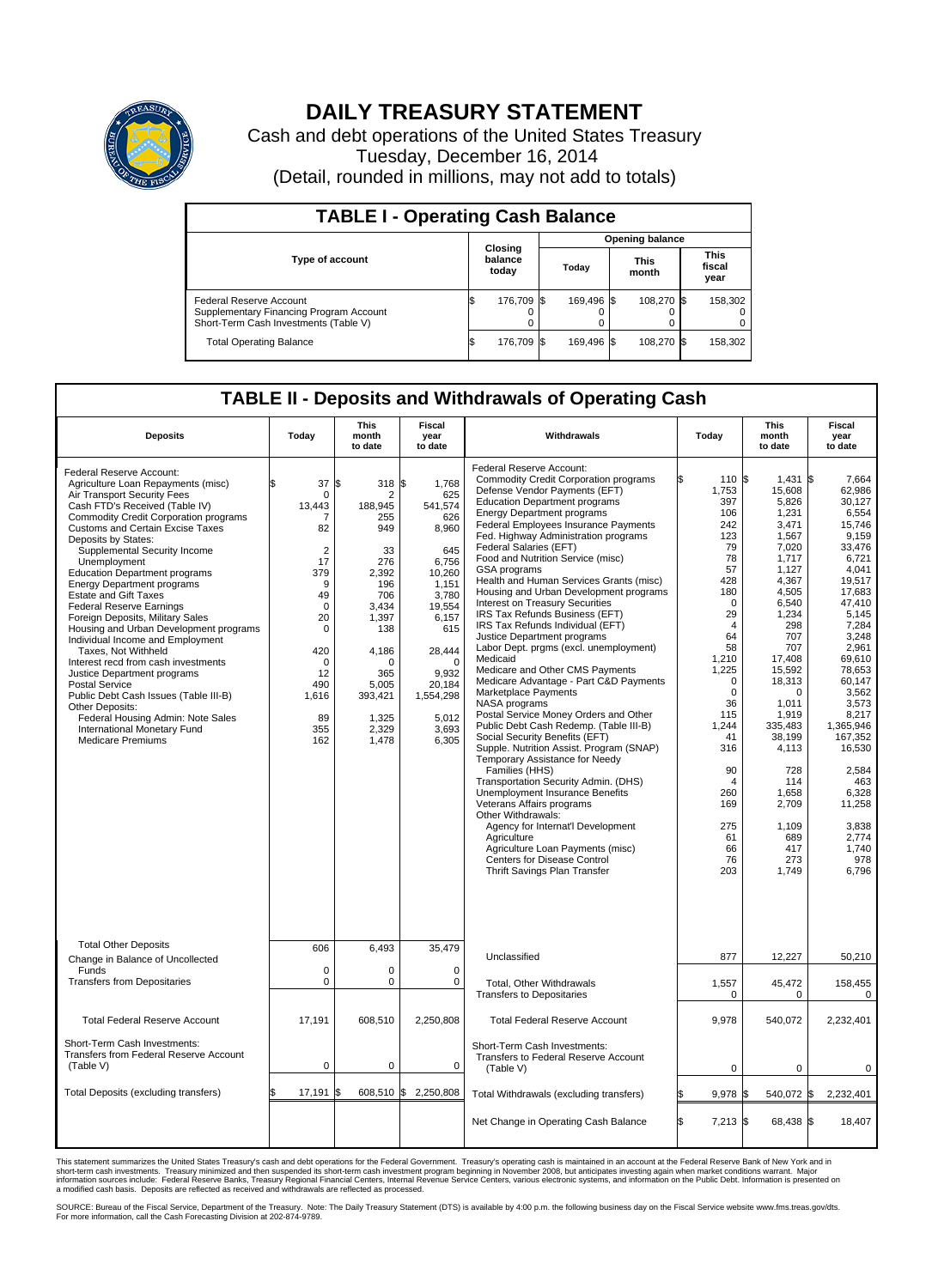

## **DAILY TREASURY STATEMENT**

Cash and debt operations of the United States Treasury Tuesday, December 16, 2014 (Detail, rounded in millions, may not add to totals)

| <b>TABLE I - Operating Cash Balance</b>                                                                     |                             |            |  |            |  |                      |  |                               |  |
|-------------------------------------------------------------------------------------------------------------|-----------------------------|------------|--|------------|--|----------------------|--|-------------------------------|--|
| <b>Opening balance</b>                                                                                      |                             |            |  |            |  |                      |  |                               |  |
| <b>Type of account</b>                                                                                      | Closing<br>balance<br>today |            |  | Today      |  | <b>This</b><br>month |  | <b>This</b><br>fiscal<br>year |  |
| Federal Reserve Account<br>Supplementary Financing Program Account<br>Short-Term Cash Investments (Table V) |                             | 176.709 \$ |  | 169.496 \$ |  | 108.270 \$           |  | 158,302                       |  |
| <b>Total Operating Balance</b>                                                                              | I\$                         | 176,709 \$ |  | 169.496 \$ |  | 108,270 \$           |  | 158,302                       |  |

## **TABLE II - Deposits and Withdrawals of Operating Cash**

| <b>Deposits</b>                                                                                                                                                                                                                                                                                                                                                                                                                                                                                                                                                                                                                                                                                                                                                                                                                                | Today                                                                                                                                                                                | <b>This</b><br>month<br>to date                                                                                                                                                          | <b>Fiscal</b><br>year<br>to date                                                                                                                                                               | Withdrawals                                                                                                                                                                                                                                                                                                                                                                                                                                                                                                                                                                                                                                                                                                                                                                                                                                                                                                                                                                                                                                                                                                                                                                                                                                                                     | Today                                                                                                                                                                                                                                                                     | <b>This</b><br>month<br>to date                                                                                                                                                                                                                                                                          | <b>Fiscal</b><br>year<br>to date                                                                                                                                                                                                                                                                                                    |
|------------------------------------------------------------------------------------------------------------------------------------------------------------------------------------------------------------------------------------------------------------------------------------------------------------------------------------------------------------------------------------------------------------------------------------------------------------------------------------------------------------------------------------------------------------------------------------------------------------------------------------------------------------------------------------------------------------------------------------------------------------------------------------------------------------------------------------------------|--------------------------------------------------------------------------------------------------------------------------------------------------------------------------------------|------------------------------------------------------------------------------------------------------------------------------------------------------------------------------------------|------------------------------------------------------------------------------------------------------------------------------------------------------------------------------------------------|---------------------------------------------------------------------------------------------------------------------------------------------------------------------------------------------------------------------------------------------------------------------------------------------------------------------------------------------------------------------------------------------------------------------------------------------------------------------------------------------------------------------------------------------------------------------------------------------------------------------------------------------------------------------------------------------------------------------------------------------------------------------------------------------------------------------------------------------------------------------------------------------------------------------------------------------------------------------------------------------------------------------------------------------------------------------------------------------------------------------------------------------------------------------------------------------------------------------------------------------------------------------------------|---------------------------------------------------------------------------------------------------------------------------------------------------------------------------------------------------------------------------------------------------------------------------|----------------------------------------------------------------------------------------------------------------------------------------------------------------------------------------------------------------------------------------------------------------------------------------------------------|-------------------------------------------------------------------------------------------------------------------------------------------------------------------------------------------------------------------------------------------------------------------------------------------------------------------------------------|
| Federal Reserve Account:<br>Agriculture Loan Repayments (misc)<br>Air Transport Security Fees<br>Cash FTD's Received (Table IV)<br><b>Commodity Credit Corporation programs</b><br><b>Customs and Certain Excise Taxes</b><br>Deposits by States:<br>Supplemental Security Income<br>Unemployment<br><b>Education Department programs</b><br><b>Energy Department programs</b><br><b>Estate and Gift Taxes</b><br><b>Federal Reserve Earnings</b><br>Foreign Deposits, Military Sales<br>Housing and Urban Development programs<br>Individual Income and Employment<br>Taxes, Not Withheld<br>Interest recd from cash investments<br>Justice Department programs<br><b>Postal Service</b><br>Public Debt Cash Issues (Table III-B)<br>Other Deposits:<br>Federal Housing Admin: Note Sales<br>International Monetary Fund<br>Medicare Premiums | 37<br>$\mathbf 0$<br>13,443<br>7<br>82<br>$\overline{2}$<br>17<br>379<br>9<br>49<br>$\mathbf 0$<br>20<br>$\mathbf 0$<br>420<br>$\mathbf 0$<br>12<br>490<br>1,616<br>89<br>355<br>162 | \$<br>318 \$<br>$\overline{2}$<br>188,945<br>255<br>949<br>33<br>276<br>2.392<br>196<br>706<br>3.434<br>1,397<br>138<br>4,186<br>n<br>365<br>5,005<br>393,421<br>1,325<br>2,329<br>1,478 | 1,768<br>625<br>541,574<br>626<br>8,960<br>645<br>6,756<br>10,260<br>1,151<br>3,780<br>19.554<br>6,157<br>615<br>28,444<br>$\Omega$<br>9.932<br>20,184<br>1,554,298<br>5,012<br>3,693<br>6,305 | Federal Reserve Account:<br><b>Commodity Credit Corporation programs</b><br>Defense Vendor Payments (EFT)<br><b>Education Department programs</b><br><b>Energy Department programs</b><br>Federal Employees Insurance Payments<br>Fed. Highway Administration programs<br>Federal Salaries (EFT)<br>Food and Nutrition Service (misc)<br><b>GSA</b> programs<br>Health and Human Services Grants (misc)<br>Housing and Urban Development programs<br>Interest on Treasury Securities<br>IRS Tax Refunds Business (EFT)<br>IRS Tax Refunds Individual (EFT)<br>Justice Department programs<br>Labor Dept. prgms (excl. unemployment)<br>Medicaid<br>Medicare and Other CMS Payments<br>Medicare Advantage - Part C&D Payments<br>Marketplace Payments<br>NASA programs<br>Postal Service Money Orders and Other<br>Public Debt Cash Redemp. (Table III-B)<br>Social Security Benefits (EFT)<br>Supple. Nutrition Assist. Program (SNAP)<br>Temporary Assistance for Needy<br>Families (HHS)<br>Transportation Security Admin. (DHS)<br>Unemployment Insurance Benefits<br>Veterans Affairs programs<br>Other Withdrawals:<br>Agency for Internat'l Development<br>Agriculture<br>Agriculture Loan Payments (misc)<br>Centers for Disease Control<br>Thrift Savings Plan Transfer | 110 \$<br>1,753<br>397<br>106<br>242<br>123<br>79<br>78<br>57<br>428<br>180<br>$\Omega$<br>29<br>$\boldsymbol{A}$<br>64<br>58<br>1,210<br>1,225<br>$\Omega$<br>0<br>36<br>115<br>1,244<br>41<br>316<br>90<br>$\overline{4}$<br>260<br>169<br>275<br>61<br>66<br>76<br>203 | 1,431<br>15,608<br>5,826<br>1,231<br>3,471<br>1,567<br>7.020<br>1,717<br>1,127<br>4,367<br>4,505<br>6,540<br>1,234<br>298<br>707<br>707<br>17,408<br>15,592<br>18,313<br>$\Omega$<br>1,011<br>1,919<br>335.483<br>38,199<br>4,113<br>728<br>114<br>1.658<br>2,709<br>1,109<br>689<br>417<br>273<br>1,749 | l\$<br>7,664<br>62,986<br>30,127<br>6.554<br>15,746<br>9.159<br>33,476<br>6,721<br>4.041<br>19.517<br>17,683<br>47,410<br>5.145<br>7,284<br>3,248<br>2,961<br>69,610<br>78,653<br>60.147<br>3,562<br>3,573<br>8,217<br>1.365.946<br>167,352<br>16,530<br>2,584<br>463<br>6,328<br>11,258<br>3.838<br>2,774<br>1,740<br>978<br>6,796 |
| <b>Total Other Deposits</b>                                                                                                                                                                                                                                                                                                                                                                                                                                                                                                                                                                                                                                                                                                                                                                                                                    | 606                                                                                                                                                                                  | 6,493                                                                                                                                                                                    | 35,479                                                                                                                                                                                         | Unclassified                                                                                                                                                                                                                                                                                                                                                                                                                                                                                                                                                                                                                                                                                                                                                                                                                                                                                                                                                                                                                                                                                                                                                                                                                                                                    | 877                                                                                                                                                                                                                                                                       | 12,227                                                                                                                                                                                                                                                                                                   | 50,210                                                                                                                                                                                                                                                                                                                              |
| Change in Balance of Uncollected<br>Funds                                                                                                                                                                                                                                                                                                                                                                                                                                                                                                                                                                                                                                                                                                                                                                                                      | $\mathbf 0$                                                                                                                                                                          | 0                                                                                                                                                                                        | $\Omega$                                                                                                                                                                                       |                                                                                                                                                                                                                                                                                                                                                                                                                                                                                                                                                                                                                                                                                                                                                                                                                                                                                                                                                                                                                                                                                                                                                                                                                                                                                 |                                                                                                                                                                                                                                                                           |                                                                                                                                                                                                                                                                                                          |                                                                                                                                                                                                                                                                                                                                     |
| <b>Transfers from Depositaries</b>                                                                                                                                                                                                                                                                                                                                                                                                                                                                                                                                                                                                                                                                                                                                                                                                             | $\mathbf 0$                                                                                                                                                                          | 0                                                                                                                                                                                        | 0                                                                                                                                                                                              | Total, Other Withdrawals<br><b>Transfers to Depositaries</b>                                                                                                                                                                                                                                                                                                                                                                                                                                                                                                                                                                                                                                                                                                                                                                                                                                                                                                                                                                                                                                                                                                                                                                                                                    | 1,557<br>$\mathbf 0$                                                                                                                                                                                                                                                      | 45,472<br>0                                                                                                                                                                                                                                                                                              | 158,455<br>0                                                                                                                                                                                                                                                                                                                        |
| <b>Total Federal Reserve Account</b>                                                                                                                                                                                                                                                                                                                                                                                                                                                                                                                                                                                                                                                                                                                                                                                                           | 17.191                                                                                                                                                                               | 608,510                                                                                                                                                                                  | 2,250,808                                                                                                                                                                                      | <b>Total Federal Reserve Account</b>                                                                                                                                                                                                                                                                                                                                                                                                                                                                                                                                                                                                                                                                                                                                                                                                                                                                                                                                                                                                                                                                                                                                                                                                                                            | 9.978                                                                                                                                                                                                                                                                     | 540,072                                                                                                                                                                                                                                                                                                  | 2,232,401                                                                                                                                                                                                                                                                                                                           |
| Short-Term Cash Investments:<br>Transfers from Federal Reserve Account<br>(Table V)                                                                                                                                                                                                                                                                                                                                                                                                                                                                                                                                                                                                                                                                                                                                                            | $\pmb{0}$                                                                                                                                                                            | 0                                                                                                                                                                                        | 0                                                                                                                                                                                              | Short-Term Cash Investments:<br>Transfers to Federal Reserve Account<br>(Table V)                                                                                                                                                                                                                                                                                                                                                                                                                                                                                                                                                                                                                                                                                                                                                                                                                                                                                                                                                                                                                                                                                                                                                                                               | 0                                                                                                                                                                                                                                                                         | 0                                                                                                                                                                                                                                                                                                        | 0                                                                                                                                                                                                                                                                                                                                   |
| Total Deposits (excluding transfers)                                                                                                                                                                                                                                                                                                                                                                                                                                                                                                                                                                                                                                                                                                                                                                                                           | 17,191<br>\$                                                                                                                                                                         | ß.                                                                                                                                                                                       | 608,510 \$ 2,250,808                                                                                                                                                                           | Total Withdrawals (excluding transfers)                                                                                                                                                                                                                                                                                                                                                                                                                                                                                                                                                                                                                                                                                                                                                                                                                                                                                                                                                                                                                                                                                                                                                                                                                                         | $9,978$ \$                                                                                                                                                                                                                                                                | 540,072 \$                                                                                                                                                                                                                                                                                               | 2,232,401                                                                                                                                                                                                                                                                                                                           |
|                                                                                                                                                                                                                                                                                                                                                                                                                                                                                                                                                                                                                                                                                                                                                                                                                                                |                                                                                                                                                                                      |                                                                                                                                                                                          |                                                                                                                                                                                                | Net Change in Operating Cash Balance                                                                                                                                                                                                                                                                                                                                                                                                                                                                                                                                                                                                                                                                                                                                                                                                                                                                                                                                                                                                                                                                                                                                                                                                                                            | l\$<br>$7,213$ \$                                                                                                                                                                                                                                                         | 68,438 \$                                                                                                                                                                                                                                                                                                | 18,407                                                                                                                                                                                                                                                                                                                              |

This statement summarizes the United States Treasury's cash and debt operations for the Federal Government. Treasury's operating cash is maintained in an account at the Federal Reserve Bank of New York and in<br>short-term ca

SOURCE: Bureau of the Fiscal Service, Department of the Treasury. Note: The Daily Treasury Statement (DTS) is available by 4:00 p.m. the following business day on the Fiscal Service website www.fms.treas.gov/dts.<br>For more